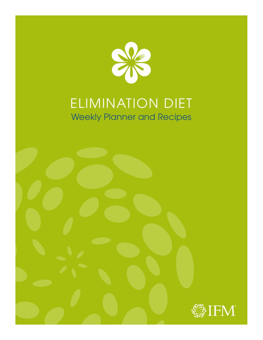

# ELIMINATION DIET Weekly Planner and Recipes

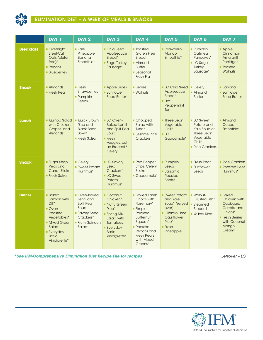

|                  | <b>DAY 1</b>                                                                                                                                          | DAY <sub>2</sub>                                                                                                     | DAY <sub>3</sub>                                                                                                                                  | DAY 4                                                                                                                                                                          | DAY <sub>5</sub>                                                                                                               | DAY 6                                                                                                      | DAY 7                                                                                                                          |
|------------------|-------------------------------------------------------------------------------------------------------------------------------------------------------|----------------------------------------------------------------------------------------------------------------------|---------------------------------------------------------------------------------------------------------------------------------------------------|--------------------------------------------------------------------------------------------------------------------------------------------------------------------------------|--------------------------------------------------------------------------------------------------------------------------------|------------------------------------------------------------------------------------------------------------|--------------------------------------------------------------------------------------------------------------------------------|
| <b>Breakfast</b> | • Overnight<br>Steel-Cut<br>Oats (gluten<br>$free)$ *<br>$\blacksquare$ Pecans<br><b>Blueberries</b>                                                  | $\blacksquare$ Kale<br>Pineapple<br><b>Banana</b><br>Smoothie*                                                       | • Chia Seed<br>Applesauce<br>Bread*<br>Sage Turkey<br>Sausage*                                                                                    | <b>Toasted</b><br><b>Gluten Free</b><br><b>Bread</b><br><b>Almond</b><br><b>Butter</b><br>$\blacksquare$ Seasonal<br>Fresh Fruit                                               | <b>Strawberry</b><br>Mango<br>Smoothie*                                                                                        | <b>Pumpkin</b><br>Oatmeal<br>Pancakes*<br>LO Sage<br>Turkey<br>Sausage*                                    | <b>Apple</b><br>Cinnamon<br>Amaranth<br>Porridge*<br><b>Toasted</b><br><b>Walnuts</b>                                          |
| <b>Snack</b>     | • Almonds<br><b>Fresh Pear</b>                                                                                                                        | $\blacksquare$ Fresh<br><b>Strawberries</b><br><b>Pumpkin</b><br>Seeds                                               | <b>Apple Slices</b><br><b>Sunflower</b><br><b>Seed Butter</b>                                                                                     | <b>Berries</b><br>$\blacksquare$ Walnuts                                                                                                                                       | LO Chia Seed<br>Applesauce<br>Bread*<br>Hot<br>Peppermint<br>Tea                                                               | Celery<br>• Almond<br><b>Butter</b>                                                                        | $\blacksquare$ Banana<br><b>Sunflower</b><br><b>Seed Butter</b>                                                                |
| Lunch            | • Quinoa Salad<br>with Chicken,<br>Grapes, and<br>Almonds*                                                                                            | • Quick Brown<br><b>Rice and</b><br><b>Black Bean</b><br>Bowl*<br>Fresh Salsa                                        | LO Oven-<br><b>Baked Lentil</b><br>and Split Pea<br>Soup*<br>Fresh<br>Veggies, cut<br>up Broccoli/<br>Celery                                      | • Chopped<br>Salad with<br>Tuna*<br>Sesame Rice<br>Crackers                                                                                                                    | <b>Three Bean</b><br>Vegetable<br>Chili*<br>L <sub>O</sub><br>Guacamole*                                                       | <b>LO</b> Sweet<br>Potato and<br>Kale Soup or<br><b>Three Bean</b><br>Vegetable<br>Chili*<br>Rice Crackers | • Almond<br>Cocoa<br>Smoothie*                                                                                                 |
| <b>Snack</b>     | <b>Sugar Snap</b><br>Peas and<br><b>Carrot Sticks</b><br><b>Fresh Salsa</b>                                                                           | $\blacksquare$ Celerv<br>Sweet Potato<br>Hummus*                                                                     | <b>LO Savory</b><br>Seed<br>Crackers*<br>LO Sweet<br>Potato<br>Hummus*                                                                            | Red Pepper<br><b>Strips, Celery</b><br><b>Sticks</b><br>• Guacamole*                                                                                                           | <b>Pumpkin</b><br>Seeds<br><b>Balsamic</b><br>Roasted<br>Beets*                                                                | $\blacksquare$ Fresh Pear<br><b>Sunflower</b><br>Seeds                                                     | • Rice Crackers<br>Roasted Beet<br>Hummus*                                                                                     |
| <b>Dinner</b>    | <b>Baked</b><br>Salmon with<br>$Dill^*$<br>Oven-<br>Roasted<br>Vegetables*<br>Mixed Green<br>Salad<br><b>Everyday</b><br><b>Basic</b><br>Vinaigrette* | Oven-Baked<br>Lentil and<br>Split Pea<br>Soup*<br><b>Savory Seed</b><br>Crackers*<br><b>Fruity Spinach</b><br>Salad* | Coconut<br>Chicken*<br>• Nutty Green<br>Rice*<br>• Spring Mix<br>Salad with<br><b>Tomatoes</b><br><b>Everyday</b><br><b>Basic</b><br>Vinaigrette* | <b>Broiled Lamb</b><br>Chops with<br>Rosemary*<br>• Simple<br>Roasted<br><b>Butternut</b><br>Squash*<br>• Roasted<br>Pecans and<br><b>Fresh Pears</b><br>with Mixed<br>Greens* | <b>Sweet Potato</b><br>and Kale<br>Soup* (served<br>over)<br>• Cilantro Lime<br>Cauliflower<br>Rice*<br>$F$ Fresh<br>Pineapple | - Walnut-<br>Crusted Fish*<br>■ Steamed<br><b>Broccoli</b><br><b>Yellow Rice*</b>                          | <b>Baked</b><br>Chicken with<br>Cabbage,<br>Carrots, and<br>Onions*<br><b>Fresh Berries</b><br>with Coconut<br>Mango<br>Cream* |

*\*See IFM-Comprehensive Elimination Diet Recipe File for recipes Leftover – LO*

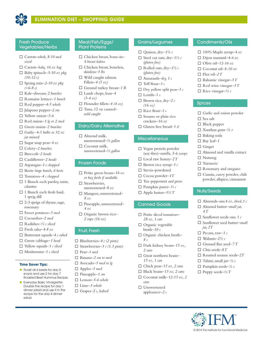

### Fresh Produce Vegetables/Herbs

- □ Carrots–whole, 8-10 med *sized*
- □ Carrots–baby, 16 oz bag
- $\Box$  Baby spinach–3-10 oz pkg *(10-12 c)*
- $\Box$  Spring mix-2-10 oz pkg *(≈6-8 c)*
- o Kale*–dinosaur, 2 bunches*
- o Romaine lettuce*–1 bunch*
- □ Red pepper-4-5 whole
- o Jalapeno pepper*–2 sm*
- $\Box$  Yellow onion–5-6
- □ Red onion-1 *lg or 2 med*
- □ Green onion–2 bunches
- □ Garlic<sup>-4-5</sup> bulbs or 32 oz *jar minced*
- $\Box$  Sugar snap peas-4 oz
- □ Celery-2 bunches
- o Broccoli*–2 heads*
- □ Cauliflower–2 heads
- o Asparagus*–1 c chopped*
- □ Beets–*large bunch*, 6 beets
- □ Tomatoes-4 c chopped
- $\Box$  1 Bunch each parsley, mint, cilantro
- $\Box$  1 Bunch each fresh basil, 1 sprig dill
- $\square$  2-3 sprigs of thyme, sage, rosemary
- □ Sweet potatoes-5 med
- □ Cucumber-2 med
- o Radishes*–½ c sliced*
- o Fresh salsa*–4-8 oz*
- o Butternut squash*–4 c cubed*
- □ Green cabbage-1 head
- □ Yellow squash-1 c sliced
- o Mushrooms*–1 c sliced*

### **Time Saver Tips:**

- Roast all 6 beets for day 5 snack and use 2 for day 7 Roasted Beet Hummus Recipe.
- **n** Everyday Basic Vinaigrette-Double the recipe for day 1 dinner salad and use it in the recipe for the day 4 dinner salad.

### Meat/Fish/Eggs/ Plant Proteins

- □ Chicken breast, bone-in-*4 breast halves*
- $\Box$  Chicken breast, boneless, skinless*–3 lbs*
- $\Box$  Wild caught salmon Fillets–*4 (5 oz)*
- □ Ground turkey breast-1 *lb*
- □ Lamb chops, lean-4 *(3-4 oz)*
- o Flounder fillets*–4 (4 oz)*
	- □ Tuna, 12 oz canned– *wild caught*

### Dairy/Dairy Alternative

- $\Box$  Almond milk, unsweetened*–½ gallon*  $\Box$  Coconut milk,
- unsweetened*–½ gallon*

### Frozen Foods

- $\Box$  Petite green beans–16 oz *or buy fresh if available.*
- $\square$  Strawberries, unsweetened*–8 oz*
- □ Mangoes, unsweetened-*8 oz*
- □ Pineapple, unsweetened– *4 oz*
- □ Organic brown rice– *2 cups (16 oz)*

### Fruit, Fresh

- □ Blueberries–4 *c* (2 pints)
- □ Strawberries–3 *c* (1.5 pints)
- □ Pear–3 med
- □ Banana–2 sm to med
- □ Avocado–5 med to l*g*
- □ Apples-3 med
- □ Pineapple-1 sm
- $\Box$  Lemon–5-6 whole
- □ Lime-3 whole
- □ Grapes–2 c, halved

### Grains/Legumes

- o Quinoa, dry*–1¼ c*
- $\Box$  Steel cut oats, dry-1½ c *(gluten free)*
- $\Box$  Rolled oats, dry-1½ c *(gluten free)*
- $\Box$  Amaranth–*dry, 1 c*
- $\Box$  Teff flour–1 c
- $\Box$  Dry yellow split peas-1 c
- $\Box$  Lentils-1 c
- $\Box$  Brown rice, dry-2  $c$ *(16 oz)*
- $\Box$  Rice flour–1 c
- $\square$  Sesame or plain rice crackers*–16 oz*
- □ Gluten free bread–1 sl

### **Miscellaneous**

- $\square$  Vegan protein powder (soy-free)*–vanilla, 5-6 scoops*
- $\Box$  Local raw honey-2 T
- $\Box$  Brown rice syrup-1 c
- $\square$  Stevia-powdered
- $\Box$  Cocoa powder–1T
- □ Tea–peppermint and green
- o Pumpkin puree*–⅔ c*
- $\Box$  Apple butter- $3\frac{1}{2}T$

### Canned Goods

- □ Petite diced tomatoes-*28 oz, 1 can*
- $\Box$  Organic vegetable broth*–10 c*
- □ Organic chicken broth– *8 c*
- $\Box$  Dark kidney beans-15 oz, *2 cans*
- □ Great northern beans-*15 oz, 1 can*
- $\Box$  Chick peas-15 oz, 2 cans
- □ Black beans-15 oz, 2 cans
- $\Box$  Coconut milk–12-15 *oz*, 2 *cans*
- $\square$  Unsweetened applesauce*–2 c*

### Condiments/Oils

 $\Box$  100% Maple syrup-4 oz

© 2014 The Institute for Functional Medicine

□ Dijon mustard–4-6 oz

 $\Box$  Balsamic vinegar–3 T  $\Box$  Red wine vinegar–3 T  $\Box$  Rice vinegar– $\frac{1}{2}c$ 

 $\Box$  Garlic and onion powder

 $\Box$  Almond and vanilla extract

 $\square$  Rosemary and oregano  $\Box$  Cumin, curry powder, chili powder, allspice, cinnamon

 $\Box$  Almonds–raw, 4 oz, sliced, 1 c □ Almond butter–small jar,

□ Sunflower seeds–raw, 1 c □ Sunflower seed butter–small

 $\Box$  Roasted sesame seeds-2T  $\Box$  Tahini, small jar- $\frac{1}{2}c$ o Pumpkin seeds*–½ c*  $\Box$  Poppy seeds– $\frac{1}{2}T$ 

- $\Box$  Olive oil–12-16 oz
- $\Box$  Coconut oil-8-10 oz

 $\Box$  Flax oil–2 T

**Spices** 

 $\square$  Sea salt  $\Box$  Black pepper  $\Box$  Xanthan gum- $\frac{1}{4}t$  $\square$  Baking soda  $\Box$  Bay leaf-1  $\Box$  Ginger

 $\square$  Nutmeg  $\square$  Turmeric

Nuts/Seeds

*4 T*

*jar, 2T*  $\Box$  Pecans, raw-1 c  $\Box$  Walnuts-2½ c  $\Box$  Ground flax seed–7 T o Chia seeds*–8 T*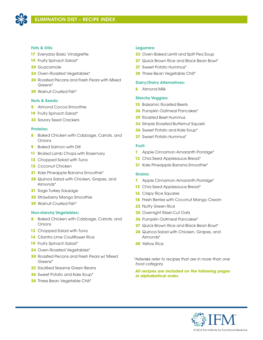

### **Fats & Oils:**

- Everyday Basic Vinaigrette
- Fruity Spinach Salad\*
- Guacamole
- Oven-Roasted Vegetables\*
- Roasted Pecans and Fresh Pears with Mixed Greens\*
- Walnut-Crusted Fish\*

### **Nuts & Seeds:**

- Almond Cocoa Smoothie
- Fruity Spinach Salad\*
- Savory Seed Crackers

#### **Proteins:**

- Baked Chicken with Cabbage, Carrots, and Onions
- Baked Salmon with Dill
- Broiled Lamb Chops with Rosemary
- Chopped Salad with Tuna
- Coconut Chicken
- Kale Pineapple Banana Smoothie\*
- Quinoa Salad with Chicken, Grapes, and Almonds\*
- Sage Turkey Sausage
- Strawberry Mango Smoothie
- Walnut-Crusted Fish\*

### **Non-starchy Vegetables:**

- Baked Chicken with Cabbage, Carrots, and Onions
- Chopped Salad with Tuna
- Cilantro Lime Cauliflower Rice
- Fruity Spinach Salad\*
- Oven-Roasted Vegetables\*
- Roasted Pecans and Fresh Pears w/ Mixed Greens\*
- Sautéed Sesame Green Beans
- Sweet Potato and Kale Soup\*
- Three Bean Vegetable Chili\*

### **Legumes:**

- Oven-Baked Lentil and Split Pea Soup
- Quick Brown Rice and Black Bean Bowl\*
- Sweet Potato Hummus\*
- Three Bean Vegetable Chili\*

### **Dairy/Dairy Alternatives:**

Almond Milk

## **Starchy Veggies:**

- Balsamic Roasted Beets
- Pumpkin Oatmeal Pancakes\*
- Roasted Beet Hummus
- Simple Roasted Butternut Squash
- Sweet Potato and Kale Soup\*
- Sweet Potato Hummus\*

### **Fruit:**

- Apple Cinnamon Amaranth Porridge\*
- 12 Chia Seed Applesauce Bread\*
- Kale Pineapple Banana Smoothie\*

### **Grains:**

- Apple Cinnamon Amaranth Porridge\*
- Chia Seed Applesauce Bread\*
- Crispy Rice Squares
- Fresh Berries with Coconut Mango Cream
- Nutty Green Rice
- Overnight Steel-Cut Oats
- Pumpkin Oatmeal Pancakes\*
- **27** Quick Brown Rice and Black Bean Bowl<sup>\*</sup>
- Quinoa Salad with Chicken, Grapes, and Almonds\*
- Yellow Rice

*\*Asterisks refer to recipes that are in more than one food category.*

*All recipes are included on the following pages in alphabetical order.*

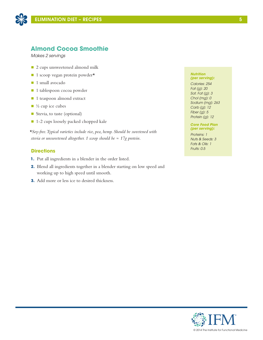

## **Almond Cocoa Smoothie**

*Makes 2 servings*

- 2 cups unsweetened almond milk
- $\blacksquare$  1 scoop vegan protein powder\*
- **n** 1 small avocado
- 1 tablespoon cocoa powder
- 1 teaspoon almond extract
- $\blacksquare$  <sup>1</sup>/<sub>2</sub> cup ice cubes
- Stevia, to taste (optional)
- 1-2 cups loosely packed chopped kale

*\*Soy-free. Typical varieties include rice, pea, hemp. Should be sweetened with stevia or unsweetened altogether. 1 scoop should be ≈ 17g protein.*

### **Directions**

- **1.** Put all ingredients in a blender in the order listed.
- **2.** Blend all ingredients together in a blender starting on low speed and working up to high speed until smooth.
- **3.** Add more or less ice to desired thickness.

#### *Nutrition (per serving):*

*Calories: 254 Fat (g): 20 Sat. Fat (g): 3 Chol (mg): 0 Sodium (mg): 263 Carb (g): 12 Fiber (g): 5 Protein (g): 12*

### *Core Food Plan (per serving):*

*Proteins: 1 Nuts & Seeds: 3 Fats & Oils: 1 Fruits: 0.5*

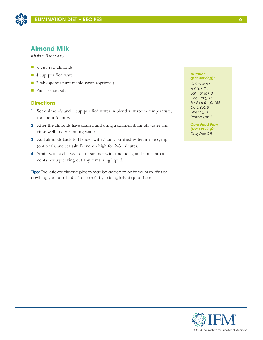

## **Almond Milk**

*Makes 3 servings*

- $\blacksquare$   $\frac{1}{2}$  cup raw almonds
- 4 cup purified water
- 2 tablespoons pure maple syrup (optional)
- Pinch of sea salt

## **Directions**

- **1.** Soak almonds and 1 cup purified water in blender, at room temperature, for about 6 hours.
- **2.** After the almonds have soaked and using a strainer, drain off water and rinse well under running water.
- **3.** Add almonds back to blender with 3 cups purified water, maple syrup (optional), and sea salt. Blend on high for 2-3 minutes.
- **4.** Strain with a cheesecloth or strainer with fine holes, and pour into a container, squeezing out any remaining liquid.

**Tips:** The leftover almond pieces may be added to oatmeal or muffins or anything you can think of to benefit by adding lots of good fiber.

#### *Nutrition (per serving):*

*Calories: 60 Fat (g): 2.5 Sat. Fat (g): 0 Chol (mg): 0 Sodium (mg): 150 Carb (g): 8 Fiber (g): 1 Protein (g): 1*

*Core Food Plan (per serving): Dairy/Alt: 0.5*

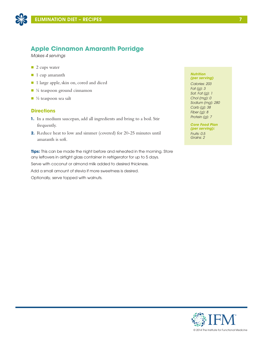

## **Apple Cinnamon Amaranth Porridge**

*Makes 4 servings*

- $\blacksquare$  2 cups water
- 1 cup amaranth
- n 1 large apple, skin on, cored and diced
- $\blacksquare$  ¼ teaspoon ground cinnamon
- $\blacksquare$  ½ teaspoon sea salt

## **Directions**

- **1.** In a medium saucepan, add all ingredients and bring to a boil. Stir frequently.
- **2.** Reduce heat to low and simmer (covered) for 20-25 minutes until amaranth is soft.

**Tips:** This can be made the night before and reheated in the morning. Store any leftovers in airtight glass container in refrigerator for up to 5 days.

Serve with coconut or almond milk added to desired thickness.

Add a small amount of stevia if more sweetness is desired.

Optionally, serve topped with walnuts.

#### *Nutrition (per serving)*

*Calories: 203 Fat (g): 3 Sat. Fat (g): 1 Chol (mg): 0 Sodium (mg): 280 Carb (g): 38 Fiber (g): 8 Protein (g): 7*

*Core Food Plan (per serving): Fruits: 0.5 Grains: 2*

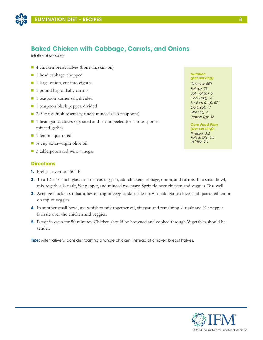

## **Baked Chicken with Cabbage, Carrots, and Onions**

*Makes 4 servings*

- $\blacksquare$  4 chicken breast halves (bone-in, skin-on)
- 1 head cabbage, chopped
- $\blacksquare$  1 large onion, cut into eighths
- 1 pound bag of baby carrots
- 1 teaspoon kosher salt, divided
- 1 teaspoon black pepper, divided
- 2-3 sprigs fresh rosemary, finely minced (2-3 teaspoons)
- 1 head garlic, cloves separated and left unpeeled (or 4-5 teaspoons minced garlic)
- **1** 1 lemon, quartered
- $\blacksquare$  ¼ cup extra-virgin olive oil
- 3 tablespoons red wine vinegar

## **Directions**

- **1.** Preheat oven to 450° F.
- **2.** To a 12 x 16-inch glass dish or roasting pan, add chicken, cabbage, onion, and carrots. In a small bowl, mix together ½ t salt, ½ t pepper, and minced rosemary. Sprinkle over chicken and veggies. Toss well.
- **3.** Arrange chicken so that it lies on top of veggies skin-side up. Also add garlic cloves and quartered lemon on top of veggies.
- **4.** In another small bowl, use whisk to mix together oil, vinegar, and remaining ½ t salt and ½ t pepper. Drizzle over the chicken and veggies.
- **5.** Roast in oven for 50 minutes. Chicken should be browned and cooked through. Vegetables should be tender.

**Tips:** Alternatively, consider roasting a whole chicken, instead of chicken breast halves.

#### *Nutrition (per serving)*

*Calories: 440 Fat (g): 28 Sat. Fat (g): 6 Chol (mg): 93 Sodium (mg): 671 Carb (g): 17 Fiber (g): 4 Protein (g): 32*

#### *Core Food Plan (per serving):*

*Proteins: 3.5 Fats & Oils: 3.5 ns Veg: 3.5*

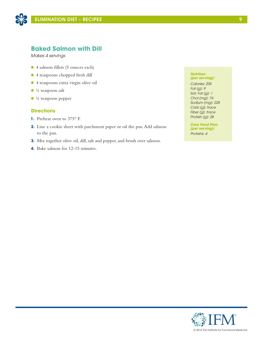

## **Baked Salmon with Dill**

*Makes 4 servings*

- 4 salmon fillets (5 ounces each)
- n 4 teaspoons chopped fresh dill
- 4 teaspoons extra virgin olive oil
- $\blacksquare$  <sup>1</sup>/<sub>4</sub> teaspoon salt
- $\blacksquare$  <sup>1</sup>/<sub>4</sub> teaspoon pepper

### **Directions**

- **1.** Preheat oven to 375° F.
- **2.** Line a cookie sheet with parchment paper or oil the pan. Add salmon to the pan.
- **3.** Mix together olive oil, dill, salt and pepper, and brush over salmon.
- **4.** Bake salmon for 12-15 minutes.

#### *Nutrition (per serving):*

*Calories: 205 Fat (g): 9 Sat. Fat (g): 1 Chol (mg): 74 Sodium (mg): 228 Carb (g): trace Fiber (g): trace Protein (g): 28*

*Core Food Plan (per serving): Proteins: 4*

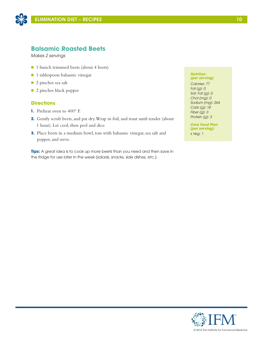

## **Balsamic Roasted Beets**

*Makes 2 servings*

- 1 bunch trimmed beets (about 4 beets)
- n 1 tablespoon balsamic vinegar
- 2 pinches sea salt
- 2 pinches black pepper

### **Directions**

- **1.** Preheat oven to 400° F.
- **2.** Gently scrub beets, and pat dry. Wrap in foil, and roast until tender (about 1 hour). Let cool, then peel and dice.
- **3.** Place beets in a medium bowl, toss with balsamic vinegar, sea salt and pepper, and serve.

**Tips:** A great idea is to cook up more beets than you need and then save in the fridge for use later in the week (salads, snacks, side dishes, etc.).

#### *Nutrition (per serving)*

*Calories: 77 Fat (g): 0 Sat. Fat (g): 0 Chol (mg): 0 Sodium (mg): 264 Carb (g): 18 Fiber (g): 3 Protein (g): 3*

*Core Food Plan (per serving): s Veg: 1*

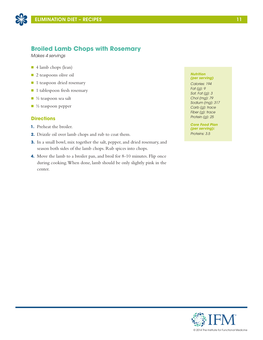

## **Broiled Lamb Chops with Rosemary**

*Makes 4 servings*

- 4 lamb chops (lean)
- **n** 2 teaspoons olive oil
- 1 teaspoon dried rosemary
- 1 tablespoon fresh rosemary
- $\blacksquare$  ½ teaspoon sea salt
- $\blacksquare$  ½ teaspoon pepper

## **Directions**

- **1.** Preheat the broiler.
- **2.** Drizzle oil over lamb chops and rub to coat them.
- **3.** In a small bowl, mix together the salt, pepper, and dried rosemary, and season both sides of the lamb chops. Rub spices into chops.
- **4.** Move the lamb to a broiler pan, and broil for 8-10 minutes. Flip once during cooking. When done, lamb should be only slightly pink in the center.

#### *Nutrition (per serving)*

*Calories: 194 Fat (g): 9 Sat. Fat (g): 3 Chol (mg): 79 Sodium (mg): 317 Carb (g): trace Fiber (g): trace Protein (g): 25*

*Core Food Plan (per serving): Proteins: 3.5*

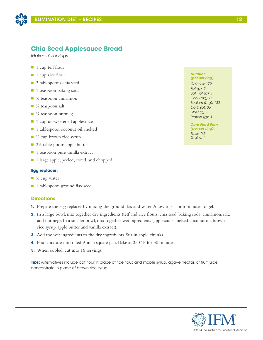

## **Chia Seed Applesauce Bread**

*Makes 16 servings*

- $\blacksquare$  1 cup teff flour
- $\blacksquare$  1 cup rice flour
- 3 tablespoons chia seed
- 1 teaspoon baking soda
- $\Box$  ½ teaspoon cinnamon
- $\blacksquare$  <sup>1</sup>/<sub>4</sub> teaspoon salt
- $\blacksquare$  ¼ teaspoon nutmeg
- 1 cup unsweetened applesauce
- 1 tablespoon coconut oil, melted
- $\Box$  ½ cup brown rice syrup
- $\Box$  3½ tablespoons apple butter
- 1 teaspoon pure vanilla extract
- 1 large apple, peeled, cored, and chopped

### **Egg replacer:**

- $\blacksquare$  ¼ cup water
- 1 tablespoon ground flax seed

### **Directions**

- **1.** Prepare the egg replacer by mixing the ground flax and water. Allow to sit for 5 minutes to gel.
- **2.** In a large bowl, mix together dry ingredients (teff and rice flours, chia seed, baking soda, cinnamon, salt, and nutmeg). In a smaller bowl, mix together wet ingredients (applesauce, melted coconut oil, brown rice syrup, apple butter and vanilla extract).
- **3.** Add the wet ingredients to the dry ingredients. Stir in apple chunks.
- **4.** Pour mixture into oiled 9-inch square pan. Bake at 350° F for 30 minutes.
- **5.** When cooled, cut into 16 servings.

**Tips:** Alternatives include oat flour in place of rice flour, and maple syrup, agave nectar, or fruit juice concentrate in place of brown rice syrup.

#### *Nutrition (per serving)*

*Calories: 179 Fat (g): 3 Sat. Fat (g): 1 Chol (mg): 0 Sodium (mg): 133 Carb (g): 36 Fiber (g): 3 Protein (g): 3*

*Core Food Plan (per serving): Fruits: 0.5 Grains: 1*

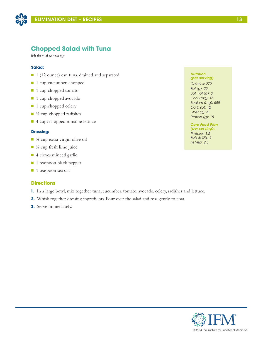

## **Chopped Salad with Tuna**

*Makes 4 servings*

### **Salad:**

- 1 (12 ounce) can tuna, drained and separated
- 1 cup cucumber, chopped
- 1 cup chopped tomato
- 1 cup chopped avocado
- 1 cup chopped celery
- $\blacksquare$  ½ cup chopped radishes
- 4 cups chopped romaine lettuce

### **Dressing:**

- $\blacksquare$  ¼ cup extra virgin olive oil
- $\blacksquare$  ¼ cup fresh lime juice
- 4 cloves minced garlic
- 1 teaspoon black pepper
- $\blacksquare$  1 teaspoon sea salt

### **Directions**

- **1.** In a large bowl, mix together tuna, cucumber, tomato, avocado, celery, radishes and lettuce.
- **2.** Whisk together dressing ingredients. Pour over the salad and toss gently to coat.
- **3.** Serve immediately.

#### *Nutrition (per serving)*

*Calories: 279 Fat (g): 20 Sat. Fat (g): 3 Chol (mg): 15 Sodium (mg): 685 Carb (g): 12 Fiber (g): 4 Protein (g): 15*

*Core Food Plan (per serving): Proteins: 1.5 Fats & Oils: 3 ns Veg: 2.5*

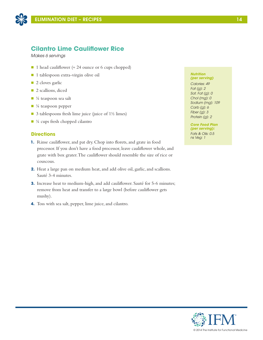

## **Cilantro Lime Cauliflower Rice**

*Makes 6 servings*

- 1 head cauliflower ( $\approx$  24 ounce or 6 cups chopped)
- n 1 tablespoon extra-virgin olive oil
- $\blacksquare$  2 cloves garlic
- **n** 2 scallions, diced
- $\blacksquare$  ¼ teaspoon sea salt
- $\blacksquare$  ¼ teaspoon pepper
- $\Box$  3 tablespoons fresh lime juice (juice of 1½ limes)
- $\blacksquare$  ¼ cups fresh chopped cilantro

## **Directions**

- **1.** Rinse cauliflower, and pat dry. Chop into florets, and grate in food processor. If you don't have a food processor, leave cauliflower whole, and grate with box grater. The cauliflower should resemble the size of rice or couscous.
- **2.** Heat a large pan on medium heat, and add olive oil, garlic, and scallions. Sauté 3-4 minutes.
- **3.** Increase heat to medium-high, and add cauliflower. Sauté for 5-6 minutes; remove from heat and transfer to a large bowl (before cauliflower gets mushy).
- **4.** Toss with sea salt, pepper, lime juice, and cilantro.

#### *Nutrition (per serving)*

*Calories: 49 Fat (g): 2 Sat. Fat (g): 0 Chol (mg): 0 Sodium (mg): 109 Carb (g): 6 Fiber (g): 3 Protein (g): 2*

*Core Food Plan (per serving): Fats & Oils: 0.5 ns Veg: 1*

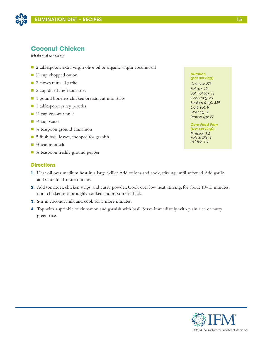

## **Coconut Chicken**

*Makes 4 servings*

- 2 tablespoons extra virgin olive oil or organic virgin coconut oil
- $\blacksquare$  ½ cup chopped onion
- 2 cloves minced garlic
- 2 cup diced fresh tomatoes
- 1 pound boneless chicken breasts, cut into strips
- 1 tablespoon curry powder
- $\blacksquare$  ¼ cup coconut milk
- $\blacksquare$  ¼ cup water
- ⅓ teaspoon ground cinnamon
- 5 fresh basil leaves, chopped for garnish
- $\blacksquare$  ½ teaspoon salt
- $\blacksquare$  ¼ teaspoon freshly ground pepper

## **Directions**

- **1.** Heat oil over medium heat in a large skillet. Add onions and cook, stirring, until softened. Add garlic and sauté for 1 more minute.
- **2.** Add tomatoes, chicken strips, and curry powder. Cook over low heat, stirring, for about 10-15 minutes, until chicken is thoroughly cooked and mixture is thick.
- **3.** Stir in coconut milk and cook for 5 more minutes.
- **4.** Top with a sprinkle of cinnamon and garnish with basil. Serve immediately with plain rice or nutty green rice.

#### *Nutrition (per serving)*

*Calories: 273 Fat (g): 15 Sat. Fat (g): 11 Chol (mg): 69 Sodium (mg): 339 Carb (g): 9 Fiber (g): 2 Protein (g): 27*

*Core Food Plan (per serving): Proteins: 3.5 Fats & Oils: 1 ns Veg: 1.5*

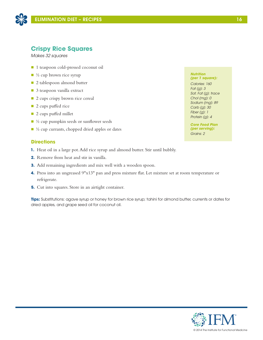

## **Crispy Rice Squares**

*Makes 32 squares*

- 1 teaspoon cold-pressed coconut oil
- $\blacksquare$  ½ cup brown rice syrup
- 2 tablespoon almond butter
- 3 teaspoon vanilla extract
- 2 cups crispy brown rice cereal
- 2 cups puffed rice
- $\blacksquare$  2 cups puffed millet
- $\blacksquare$  ½ cup pumpkin seeds or sunflower seeds
- $\blacksquare$  ½ cup currants, chopped dried apples or dates

## **Directions**

- **1.** Heat oil in a large pot. Add rice syrup and almond butter. Stir until bubbly.
- **2.** Remove from heat and stir in vanilla.
- **3.** Add remaining ingredients and mix well with a wooden spoon.
- **4.** Press into an ungreased 9"x13" pan and press mixture flat. Let mixture set at room temperature or refrigerate.
- **5.** Cut into squares. Store in an airtight container.

**Tips:** Substitutions: agave syrup or honey for brown rice syrup; tahini for almond butter, currents or dates for dried apples, and grape seed oil for coconut oil.

*Nutrition (per 1 square): Calories: 160 Fat (g): 3 Sat. Fat (g): trace Chol (mg): 0 Sodium (mg): 89 Carb (g): 30 Fiber (g): 1 Protein (g): 4*

*Core Food Plan (per serving): Grains: 2*

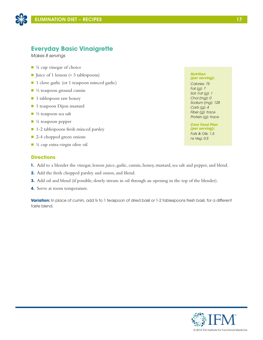

## **Everyday Basic Vinaigrette**

*Makes 8 servings*

- $\blacksquare$  <sup>1</sup>/<sub>4</sub> cup vinegar of choice
- Juice of 1 lemon ( $\approx$  3 tablespoons)
- 1 clove garlic (or 1 teaspoon minced garlic)
- $\blacksquare$  ½ teaspoon ground cumin
- 1 tablespoon raw honey
- <sup>1</sup> 1 teaspoon Dijon mustard
- $\blacksquare$  ½ teaspoon sea salt
- $\blacksquare$  ¼ teaspoon pepper
- 1-2 tablespoons fresh minced parsley
- 2-4 chopped green onions
- $\blacksquare$  ¼ cup extra-virgin olive oil

### **Directions**

- **1.** Add to a blender the vinegar, lemon juice, garlic, cumin, honey, mustard, sea salt and pepper, and blend.
- **2.** Add the fresh chopped parsley and onion, and blend.
- **3.** Add oil and blend (if possible, slowly stream in oil through an opening in the top of the blender).
- **4.** Serve at room temperature.

**Variation:** In place of cumin, add ½ to 1 teaspoon of dried basil or 1-2 tablespoons fresh basil, for a different taste blend.

#### *Nutrition (per serving):*

*Calories: 75 Fat (g): 7 Sat. Fat (g): 1 Chol (mg): 0 Sodium (mg): 128 Carb (g): 4 Fiber (g): trace Protein (g): trace*

*Core Food Plan (per serving): Fats & Oils: 1.5 ns Veg: 0.5*

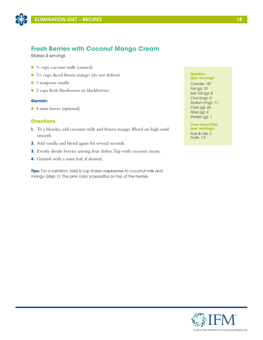

## **Fresh Berries with Coconut Mango Cream**

*Makes 4 servings*

- ⅔ cups coconut milk (canned)
- 1⅓ cups diced frozen mango (do not defrost)
- $\blacksquare$  1 teaspoon vanilla
- 2 cups fresh blueberries or blackberries

### **Garnish:**

■ 4 mint leaves (optional)

### **Directions**

- **1.** To a blender, add coconut milk and frozen mango. Blend on high until smooth.
- **2.** Add vanilla and blend again for several seconds.
- **3.** Evenly divide berries among four dishes. Top with coconut cream.
- **4.** Garnish with a mint leaf, if desired.

**Tips:** For a variation, add ⅓ cup frozen raspberries to coconut milk and mango (step 1). The pink color is beautiful on top of the berries.

#### *Nutrition (per serving):*

*Calories: 187 Fat (g): 10 Sat. Fat (g): 8 Chol (mg): 0 Sodium (mg): 11 Carb (g): 26 Fiber (g): 4 Protein (g): 1*

*Core Food Plan (per serving): Fats & Oils: 2 Fruits: 1.5*

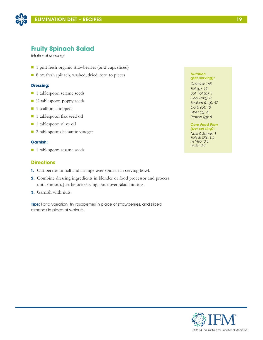

## **Fruity Spinach Salad**

*Makes 4 servings*

- 1 pint fresh organic strawberries (or 2 cups sliced)
- 8 oz. fresh spinach, washed, dried, torn to pieces

### **Dressing:**

- **n** 1 tablespoon sesame seeds
- $\blacksquare$  ½ tablespoon poppy seeds
- 1 scallion, chopped
- 1 tablespoon flax seed oil
- 1 tablespoon olive oil
- 2 tablespoons balsamic vinegar

### **Garnish:**

■ 1 tablespoon sesame seeds

### **Directions**

- **1.** Cut berries in half and arrange over spinach in serving bowl.
- **2.** Combine dressing ingredients in blender or food processor and process until smooth. Just before serving, pour over salad and toss.
- **3.** Garnish with nuts.

**Tips:** For a variation, try raspberries in place of strawberries, and sliced almonds in place of walnuts.

#### *Nutrition (per serving):*

*Calories: 165 Fat (g): 13 Sat. Fat (g): 1 Chol (mg): 0 Sodium (mg): 47 Carb (g): 10 Fiber (g): 4 Protein (g): 5*

### *Core Food Plan (per serving):*

*Nuts & Seeds: 1 Fats & Oils: 1.5 ns Veg: 0.5 Fruits: 0.5*

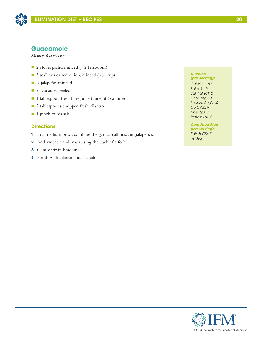

## **Guacamole**

*Makes 4 servings*

- 2 cloves garlic, minced (≈ 2 teaspoons)
- 3 scallions or red onion, minced ( $\approx$  ¼ cup)
- ¼ jalapeño, minced
- 2 avocados, peeled
- 1 tablespoon fresh lime juice (juice of  $\frac{1}{2}$  a lime)
- 2 tablespoons chopped fresh cilantro
- 1 pinch of sea salt

## **Directions**

- **1.** In a medium bowl, combine the garlic, scallions, and jalapeños.
- **2.** Add avocado and mash using the back of a fork.
- **3.** Gently stir in lime juice.
- **4.** Finish with cilantro and sea salt.

#### *Nutrition (per serving):*

*Calories: 169 Fat (g): 15 Sat. Fat (g): 2 Chol (mg): 0 Sodium (mg): 46 Carb (g): 9 Fiber (g): 3 Protein (g): 2*

*Core Food Plan (per serving): Fats & Oils: 3 ns Veg: 1*

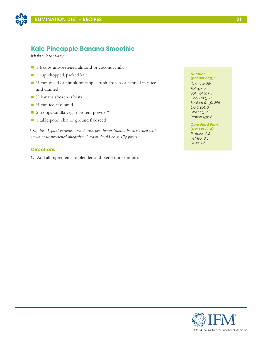

## **Kale Pineapple Banana Smoothie**

*Makes 2 servings*

- $\blacksquare$  1½ cups unsweetened almond or coconut milk
- 1 cup chopped, packed kale
- $\blacksquare$  ½ cup diced or chunk pineapple, fresh, frozen or canned in juice and drained
- $\blacksquare$  ½ banana (frozen is best)
- $\blacksquare$  <sup>1</sup>/<sub>2</sub> cup ice, if desired
- $\Box$  2 scoops vanilla vegan protein powder\*
- n 1 tablespoon chia or ground flax seed

*\*Soy-free. Typical varieties include rice, pea, hemp. Should be sweetened with stevia or unsweetened altogether. 1 scoop should be ≈ 17g protein.*

## **Directions**

**1.** Add all ingredients to blender, and blend until smooth.

### *Nutrition (per serving):*

*Calories: 246 Fat (g): 6 Sat. Fat (g): 1 Chol (mg): 0 Sodium (mg): 296 Carb (g): 31 Fiber (g): 4 Protein (g): 21*

## *Core Food Plan*

*(per serving): Proteins: 2.5 ns Veg: 0.5 Fruits: 1.5*

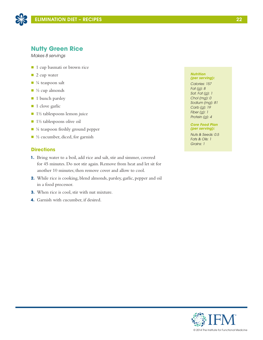

## **Nutty Green Rice**

*Makes 8 servings*

- 1 cup basmati or brown rice
- $\blacksquare$  2 cup water
- $\blacksquare$  ¼ teaspoon salt
- $\blacksquare$  <sup>1</sup>/<sub>2</sub> cup almonds
- 1 bunch parsley
- 1 clove garlic
- $\blacksquare$  1½ tablespoons lemon juice
- $\blacksquare$  1½ tablespoons olive oil
- $\blacksquare$  ¼ teaspoon freshly ground pepper
- $\blacksquare$  ½ cucumber, diced, for garnish

## **Directions**

- **1.** Bring water to a boil, add rice and salt, stir and simmer, covered for 45 minutes. Do not stir again. Remove from heat and let sit for another 10 minutes; then remove cover and allow to cool.
- **2.** While rice is cooking, blend almonds, parsley, garlic, pepper and oil in a food processor.
- **3.** When rice is cool, stir with nut mixture.
- **4.** Garnish with cucumber, if desired.

#### *Nutrition (per serving):*

*Calories: 157 Fat (g): 8 Sat. Fat (g): 1 Chol (mg): 0 Sodium (mg): 81 Carb (g): 19 Fiber (g): 1 Protein (g): 4*

*Core Food Plan (per serving):*

*Nuts & Seeds: 0.5 Fats & Oils: 1 Grains: 1*

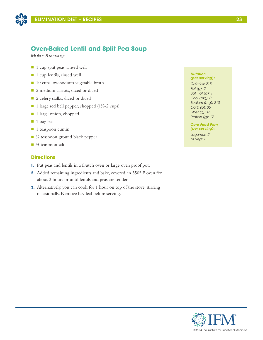

## **Oven-Baked Lentil and Split Pea Soup**

*Makes 8 servings*

- 1 cup split peas, rinsed well
- 1 cup lentils, rinsed well
- 10 cups low-sodium vegetable broth
- 2 medium carrots, sliced or diced
- 2 celery stalks, sliced or diced
- $\blacksquare$  1 large red bell pepper, chopped (1½-2 cups)
- 1 large onion, chopped
- $\blacksquare$  1 bay leaf
- $\blacksquare$  1 teaspoon cumin
- ¼ teaspoon ground black pepper
- $\blacksquare$  ½ teaspoon salt

### **Directions**

- **1.** Put peas and lentils in a Dutch oven or large oven proof pot.
- **2.** Added remaining ingredients and bake, covered, in 350° F oven for about 2 hours or until lentils and peas are tender.
- **3.** Alternatively, you can cook for 1 hour on top of the stove, stirring occasionally. Remove bay leaf before serving.

### *Nutrition (per serving):*

*Calories: 215 Fat (g): 2 Sat. Fat (g): 1 Chol (mg): 0 Sodium (mg): 210 Carb (g): 35 Fiber (g): 15 Protein (g): 17*

*Core Food Plan (per serving):*

*Legumes: 2 ns Veg: 1*

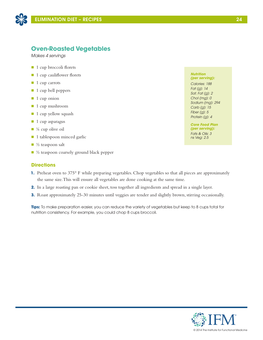

## **Oven-Roasted Vegetables**

*Makes 4 servings*

- 1 cup broccoli florets
- 1 cup cauliflower florets
- $\blacksquare$  1 cup carrots
- 1 cup bell peppers
- $\blacksquare$  1 cup onion
- 1 cup mushroom
- $\blacksquare$  1 cup yellow squash
- $\blacksquare$  1 cup asparagus
- $\blacksquare$  ¼ cup olive oil
- $\blacksquare$  1 tablespoon minced garlic
- $\blacksquare$  ½ teaspoon salt
- $\blacksquare$  ½ teaspoon coarsely ground black pepper

### **Directions**

- **1.** Preheat oven to 375° F while preparing vegetables. Chop vegetables so that all pieces are approximately the same size. This will ensure all vegetables are done cooking at the same time.
- **2.** In a large roasting pan or cookie sheet, toss together all ingredients and spread in a single layer.
- **3.** Roast approximately 25-30 minutes until veggies are tender and slightly brown, stirring occasionally.

**Tips:** To make preparation easier, you can reduce the variety of vegetables but keep to 8 cups total for nutrition consistency. For example, you could chop 8 cups broccoli.

#### *Nutrition (per serving):*

*Calories: 188 Fat (g): 14 Sat. Fat (g): 2 Chol (mg): 0 Sodium (mg): 294 Carb (g): 15 Fiber (g): 5 Protein (g): 4*

*Core Food Plan (per serving): Fats & Oils: 3 ns Veg: 2.5*

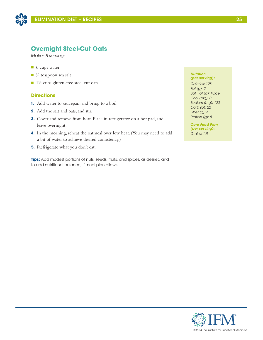

## **Overnight Steel-Cut Oats**

*Makes 8 servings*

- 6 cups water
- $\blacksquare$  ½ teaspoon sea salt
- $\blacksquare$  1½ cups gluten-free steel cut oats

### **Directions**

- **1.** Add water to saucepan, and bring to a boil.
- **2.** Add the salt and oats, and stir.
- **3.** Cover and remove from heat. Place in refrigerator on a hot pad, and leave overnight.
- **4.** In the morning, reheat the oatmeal over low heat. (You may need to add a bit of water to achieve desired consistency.)
- **5.** Refrigerate what you don't eat.

**Tips:** Add modest portions of nuts, seeds, fruits, and spices, as desired and to add nutritional balance, if meal plan allows.

#### *Nutrition (per serving):*

*Calories: 128 Fat (g): 2 Sat. Fat (g): trace Chol (mg): 0 Sodium (mg): 123 Carb (g): 22 Fiber (g): 4 Protein (g): 5*

*Core Food Plan (per serving): Grains: 1.5*

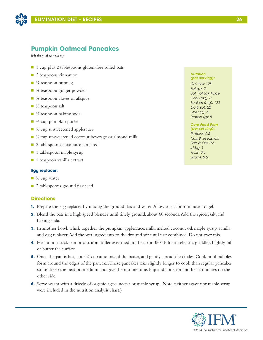

## **Pumpkin Oatmeal Pancakes**

*Makes 4 servings*

- 1 cup plus 2 tablespoons gluten-free rolled oats
- $\Box$  2 teaspoons cinnamon
- $\blacksquare$  ¼ teaspoon nutmeg
- $\blacksquare$  ¼ teaspoon ginger powder
- $\blacksquare$  ¼ teaspoon cloves or allspice
- $\blacksquare$  ½ teaspoon salt
- $\Box$  ½ teaspoon baking soda
- $\Box$  % cup pumpkin purée
- ⅓ cup unsweetened applesauce
- ⅓ cup unsweetened coconut beverage or almond milk
- 2 tablespoons coconut oil, melted
- 1 tablespoon maple syrup
- 1 teaspoon vanilla extract

### **Egg replacer:**

- $\Box$  % cup water
- 2 tablespoons ground flax seed

### **Directions**

- **1.** Prepare the egg replacer by mixing the ground flax and water. Allow to sit for 5 minutes to gel.
- **2.** Blend the oats in a high speed blender until finely ground, about 60 seconds. Add the spices, salt, and baking soda.
- **3.** In another bowl, whisk together the pumpkin, applesauce, milk, melted coconut oil, maple syrup, vanilla, and egg replacer. Add the wet ingredients to the dry and stir until just combined. Do not over mix.
- **4.** Heat a non-stick pan or cast iron skillet over medium heat (or 350° F for an electric griddle). Lightly oil or butter the surface.
- **5.** Once the pan is hot, pour <sup>1/4</sup> cup amounts of the batter, and gently spread the circles. Cook until bubbles form around the edges of the pancake. These pancakes take slightly longer to cook than regular pancakes so just keep the heat on medium and give them some time. Flip and cook for another 2 minutes on the other side.
- **6.** Serve warm with a drizzle of organic agave nectar or maple syrup. (Note, neither agave nor maple syrup were included in the nutrition analysis chart.)

#### *Nutrition (per serving):*

*Calories: 128 Fat (g): 2 Sat. Fat (g): trace Chol (mg): 0 Sodium (mg): 123 Carb (g): 22 Fiber (g): 4 Protein (g): 5*

#### *Core Food Plan (per serving):*

*Proteins: 0.5 Nuts & Seeds: 0.5 Fats & Oils: 0.5 s Veg: 1 Fruits: 0.5 Grains: 0.5*

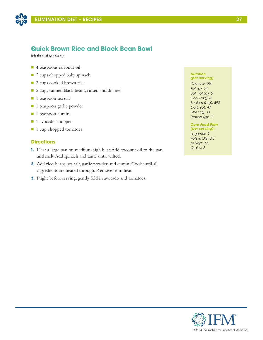

## **Quick Brown Rice and Black Bean Bowl**

*Makes 4 servings*

- 4 teaspoons coconut oil
- 2 cups chopped baby spinach
- 2 cups cooked brown rice
- 2 cups canned black beans, rinsed and drained
- 1 teaspoon sea salt
- 1 teaspoon garlic powder
- $\blacksquare$  1 teaspoon cumin
- n 1 avocado, chopped
- 1 cup chopped tomatoes

## **Directions**

- **1.** Heat a large pan on medium-high heat. Add coconut oil to the pan, and melt. Add spinach and sauté until wilted.
- **2.** Add rice, beans, sea salt, garlic powder, and cumin. Cook until all ingredients are heated through. Remove from heat.
- **3.** Right before serving, gently fold in avocado and tomatoes.

#### *Nutrition (per serving)*

*Calories: 356 Fat (g): 14 Sat. Fat (g): 5 Chol (mg): 0 Sodium (mg): 893 Carb (g): 47 Fiber (g): 11 Protein (g): 11*

## *Core Food Plan*

*(per serving): Legumes: 1 Fats & Oils: 0.5 ns Veg: 0.5 Grains: 2*

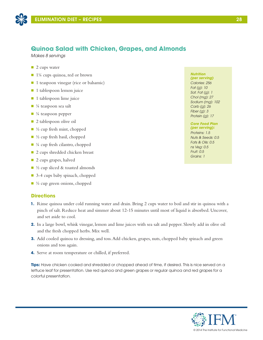

## **Quinoa Salad with Chicken, Grapes, and Almonds**

*Makes 8 servings*

- $\blacksquare$  2 cups water
- 1¼ cups quinoa, red or brown
- 1 teaspoon vinegar (rice or balsamic)
- $\blacksquare$  1 tablespoon lemon juice
- **n** 1 tablespoon lime juice
- $\blacksquare$  ¼ teaspoon sea salt
- $\blacksquare$  ¼ teaspoon pepper
- **2** tablespoon olive oil
- $\blacksquare$  ½ cup fresh mint, chopped
- $\Box$  ½ cup fresh basil, chopped
- $\blacksquare$  ¼ cup fresh cilantro, chopped
- 2 cups shredded chicken breast
- 2 cups grapes, halved
- $\blacksquare$  ½ cup sliced & toasted almonds
- 3-4 cups baby spinach, chopped
- $\blacksquare$  ½ cup green onions, chopped

## **Directions**

- **1.** Rinse quinoa under cold running water and drain. Bring 2 cups water to boil and stir in quinoa with a pinch of salt. Reduce heat and simmer about 12-15 minutes until most of liquid is absorbed. Uncover, and set aside to cool.
- **2.** In a large bowl, whisk vinegar, lemon and lime juices with sea salt and pepper. Slowly add in olive oil and the fresh chopped herbs. Mix well.
- **3.** Add cooled quinoa to dressing, and toss. Add chicken, grapes, nuts, chopped baby spinach and green onions and toss again.
- **4.** Serve at room temperature or chilled, if preferred.

**Tips:** Have chicken cooked and shredded or chopped ahead of time, if desired. This is nice served on a lettuce leaf for presentation. Use red quinoa and green grapes or regular quinoa and red grapes for a colorful presentation.

## *Nutrition*

*(per serving) Calories: 256 Fat (g): 10 Sat. Fat (g): 1 Chol (mg): 27 Sodium (mg): 102 Carb (g): 26 Fiber (g): 3 Protein (g): 17*

## *Core Food Plan*

*(per serving): Proteins: 1.5 Nuts & Seeds: 0.5 Fats & Oils: 0.5 ns Veg: 0.5 Fruit: 0.5 Grains: 1*

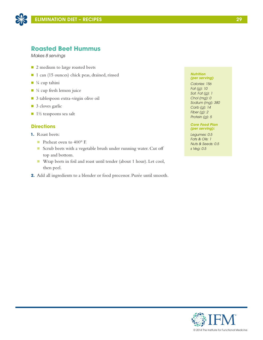

## **Roasted Beet Hummus**

*Makes 8 servings*

- 2 medium to large roasted beets
- 1 can (15 ounces) chick peas, drained, rinsed
- $\blacksquare$  ¼ cup tahini
- $\blacksquare$  ¼ cup fresh lemon juice
- 3 tablespoon extra-virgin olive oil
- 3 cloves garlic
- $\blacksquare$  1½ teaspoons sea salt

### **Directions**

- **1.** Roast beets:
	- Preheat oven to 400° F.
	- n Scrub beets with a vegetable brush under running water. Cut off top and bottom.
	- Wrap beets in foil and roast until tender (about 1 hour). Let cool, then peel.
- **2.** Add all ingredients to a blender or food processor. Purée until smooth.

#### *Nutrition (per serving)*

*Calories: 156 Fat (g): 10 Sat. Fat (g): 1 Chol (mg): 0 Sodium (mg): 380 Carb (g): 14 Fiber (g): 2 Protein (g): 5*

*Core Food Plan (per serving):*

*Legumes: 0.5 Fats & Oils: 1 Nuts & Seeds: 0.5 s Veg: 0.5*

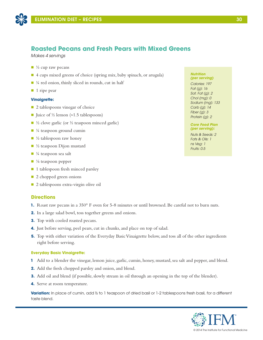

## **Roasted Pecans and Fresh Pears with Mixed Greens**

*Makes 4 servings*

- $\Box$  ½ cup raw pecans
- 4 cups mixed greens of choice (spring mix, baby spinach, or arugula)
- $\blacksquare$  ¼ red onion, thinly sliced in rounds, cut in half
- $\blacksquare$  1 ripe pear

### **Vinaigrette:**

- $\Box$  2 tablespoons vinegar of choice
- Juice of ½ lemon (≈1.5 tablespoons)
- $\Box$  ½ clove garlic (or ½ teaspoon minced garlic)
- $\blacksquare$  ¼ teaspoon ground cumin
- $\blacksquare$  ½ tablespoon raw honey
- $\blacksquare$  ½ teaspoon Dijon mustard
- $\blacksquare$  ¼ teaspoon sea salt
- $\blacksquare$  <sup>1</sup>/<sub>8</sub> teaspoon pepper
- 1 tablespoon fresh minced parsley
- 2 chopped green onions
- 2 tablespoons extra-virgin olive oil

### **Directions**

- **1.** Roast raw pecans in a 350° F oven for 5-8 minutes or until browned. Be careful not to burn nuts.
- **2.** In a large salad bowl, toss together greens and onions.
- **3.** Top with cooled roasted pecans.
- **4.** Just before serving, peel pears, cut in chunks, and place on top of salad.
- **5.** Top with either variation of the Everyday Basic Vinaigrette below, and toss all of the other ingredients right before serving.

### **Everyday Basic Vinaigrette:**

- **1** Add to a blender the vinegar, lemon juice, garlic, cumin, honey, mustard, sea salt and pepper, and blend.
- **2.** Add the fresh chopped parsley and onion, and blend.
- **3.** Add oil and blend (if possible, slowly stream in oil through an opening in the top of the blender).
- **4.** Serve at room temperature.

**Variation:** In place of cumin, add ½ to 1 teaspoon of dried basil or 1-2 tablespoons fresh basil, for a different taste blend.

#### *Nutrition (per serving)*

*Calories: 197 Fat (g): 16 Sat. Fat (g): 2 Chol (mg): 0 Sodium (mg): 133 Carb (g): 14 Fiber (g): 3 Protein (g): 2*

### *Core Food Plan (per serving):*

*Nuts & Seeds: 2 Fats & Oils: 1 ns Veg: 1 Fruits: 0.5*

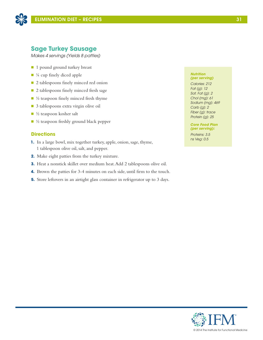

## **Sage Turkey Sausage**

*Makes 4 servings (Yields 8 patties)*

- 1 pound ground turkey breast
- ¼ cup finely diced apple
- 2 tablespoons finely minced red onion
- 2 tablespoons finely minced fresh sage
- $\blacksquare$  ½ teaspoon finely minced fresh thyme
- 3 tablespoons extra virgin olive oil
- $\blacksquare$  ½ teaspoon kosher salt
- $\blacksquare$  ½ teaspoon freshly ground black pepper

## **Directions**

- **1.** In a large bowl, mix together turkey, apple, onion, sage, thyme, 1 tablespoon olive oil, salt, and pepper.
- **2.** Make eight patties from the turkey mixture.
- **3.** Heat a nonstick skillet over medium heat. Add 2 tablespoons olive oil.
- **4.** Brown the patties for 3-4 minutes on each side, until firm to the touch.
- **5.** Store leftovers in an airtight glass container in refrigerator up to 3 days.

#### *Nutrition (per serving)*

*Calories: 212 Fat (g): 12 Sat. Fat (g): 2 Chol (mg): 61 Sodium (mg): 469 Carb (g): 2 Fiber (g): trace Protein (g): 25*

*Core Food Plan (per serving):*

*Proteins: 3.5 ns Veg: 0.5*

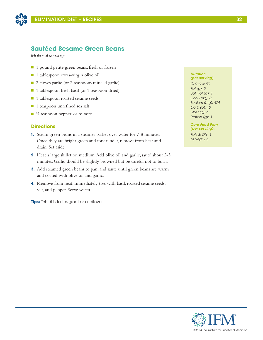

## **Sautéed Sesame Green Beans**

*Makes 4 servings*

- 1 pound petite green beans, fresh or frozen
- 1 tablespoon extra-virgin olive oil
- 2 cloves garlic (or 2 teaspoons minced garlic)
- 1 tablespoon fresh basil (or 1 teaspoon dried)
- 1 tablespoon roasted sesame seeds
- 1 teaspoon unrefined sea salt
- $\blacksquare$  ½ teaspoon pepper, or to taste

### **Directions**

- **1.** Steam green beans in a steamer basket over water for 7-8 minutes. Once they are bright green and fork tender, remove from heat and drain. Set aside.
- **2.** Heat a large skillet on medium. Add olive oil and garlic, sauté about 2-3 minutes. Garlic should be slightly browned but be careful not to burn.
- **3.** Add steamed green beans to pan, and sauté until green beans are warm and coated with olive oil and garlic.
- **4.** Remove from heat. Immediately toss with basil, roasted sesame seeds, salt, and pepper. Serve warm.

**Tips:** This dish tastes great as a leftover.

#### *Nutrition (per serving)*

*Calories: 83 Fat (g): 5 Sat. Fat (g): 1 Chol (mg): 0 Sodium (mg): 474 Carb (g): 10 Fiber (g): 4 Protein (g): 3*

*Core Food Plan (per serving):*

*Fats & Oils: 1 ns Veg: 1.5*

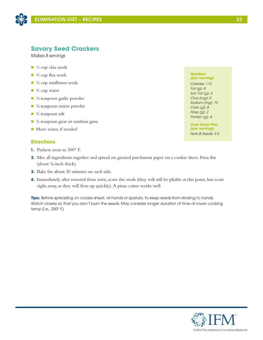

## **Savory Seed Crackers**

*Makes 8 servings*

- $\blacksquare$  ¼ cup chia seeds
- ½ cup flax seeds
- $\blacksquare$  ¼ cup sunflower seeds
- $\blacksquare$  <sup>1</sup>/<sub>4</sub> cup water
- ⅓ teaspoon garlic powder
- $\blacksquare$  <sup>1</sup>/<sub>8</sub> teaspoon onion powder
- $\blacksquare$  ¼ teaspoon salt
- $\blacksquare$  ¼ teaspoon guar or xanthan gum
- More water, if needed

## **Directions**

- **1.** Preheat oven to 300° F.
- **2.** Mix all ingredients together and spread on greased parchment paper on a cookie sheet. Press flat (about ⅛-inch thick).
- **3.** Bake for about 30 minutes on each side.
- **4.** Immediately after removal from oven, score the seeds (they will still be pliable at this point, but score right away, as they will firm up quickly). A pizza cutter works well.

**Tips:** Before spreading on cookie sheet, oil hands or spatula, to keep seeds from sticking to hands. Watch closely so that you don't burn the seeds. May consider longer duration of time at lower cooking temp (i.e., 250° F).

*Nutrition (per serving): Calories: 113 Fat (g): 8 Sat. Fat (g): 2 Chol (mg): 0 Sodium (mg): 73 Carb (g): 8 Fiber (g): 2 Protein (g): 4*

*Core Food Plan (per serving): Nuts & Seeds: 2.5*

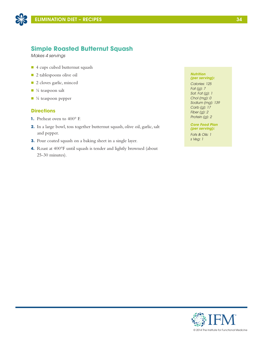

## **Simple Roasted Butternut Squash**

*Makes 4 servings*

- 4 cups cubed butternut squash
- **n** 2 tablespoons olive oil
- 2 cloves garlic, minced
- $\blacksquare$  <sup>1</sup>/<sub>4</sub> teaspoon salt
- $\blacksquare$  ¼ teaspoon pepper

## **Directions**

- **1.** Preheat oven to 400° F.
- **2.** In a large bowl, toss together butternut squash, olive oil, garlic, salt and pepper.
- **3.** Pour coated squash on a baking sheet in a single layer.
- **4.** Roast at 400°F until squash is tender and lightly browned (about 25-30 minutes).

#### *Nutrition (per serving):*

*Calories: 125 Fat (g): 7 Sat. Fat (g): 1 Chol (mg): 0 Sodium (mg): 139 Carb (g): 17 Fiber (g): 2 Protein (g): 2*

### *Core Food Plan (per serving):*

*Fats & Oils: 1 s Veg: 1*

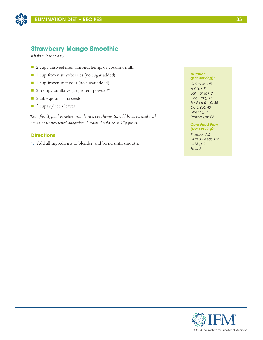

## **Strawberry Mango Smoothie**

*Makes 2 servings*

- 2 cups unsweetened almond, hemp, or coconut milk
- 1 cup frozen strawberries (no sugar added)
- 1 cup frozen mangoes (no sugar added)
- $\Box$  2 scoops vanilla vegan protein powder\*
- 2 tablespoons chia seeds
- 2 cups spinach leaves

*\*Soy-free. Typical varieties include rice, pea, hemp. Should be sweetened with stevia or unsweetened altogether. 1 scoop should be ≈ 17g protein.*

## **Directions**

**1.** Add all ingredients to blender, and blend until smooth.

#### *Nutrition (per serving):*

*Calories: 305 Fat (g): 8 Sat. Fat (g): 2 Chol (mg): 0 Sodium (mg): 351 Carb (g): 40 Fiber (g): 6 Protein (g): 22*

### *Core Food Plan (per serving):*

*Proteins: 2.5 Nuts & Seeds: 0.5 ns Veg: 1 Fruit: 2*

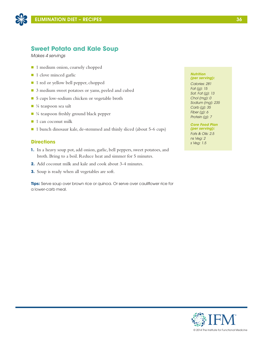

## **Sweet Potato and Kale Soup**

*Makes 4 servings*

- 1 medium onion, coarsely chopped
- 1 clove minced garlic
- 1 red or yellow bell pepper, chopped
- 3 medium sweet potatoes or yams, peeled and cubed
- 5 cups low-sodium chicken or vegetable broth
- $\blacksquare$  ¼ teaspoon sea salt
- $\blacksquare$  ¼ teaspoon freshly ground black pepper
- $\blacksquare$  1 can coconut milk
- 1 bunch dinosaur kale, de-stemmed and thinly sliced (about 5-6 cups)

## **Directions**

- **1.** In a heavy soup pot, add onion, garlic, bell peppers, sweet potatoes, and broth. Bring to a boil. Reduce heat and simmer for 5 minutes.
- **2.** Add coconut milk and kale and cook about 3-4 minutes.
- **3.** Soup is ready when all vegetables are soft.

**Tips:** Serve soup over brown rice or quinoa. Or serve over cauliflower rice for a lower-carb meal.

#### *Nutrition (per serving):*

*Calories: 281 Fat (g): 15 Sat. Fat (g): 13 Chol (mg): 0 Sodium (mg): 235 Carb (g): 35 Fiber (g): 6 Protein (g): 7*

*Core Food Plan (per serving): Fats & Oils: 2.5 ns Veg: 2 s Veg: 1.5*

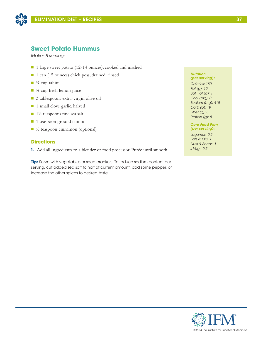

## **Sweet Potato Hummus**

*Makes 8 servings*

- 1 large sweet potato (12-14 ounces), cooked and mashed
- 1 can (15 ounces) chick peas, drained, rinsed
- $\blacksquare$  ¼ cup tahini
- $\blacksquare$  ¼ cup fresh lemon juice
- 3 tablespoons extra-virgin olive oil
- 1 small clove garlic, halved
- $\blacksquare$  1½ teaspoons fine sea salt
- 1 teaspoon ground cumin
- $\blacksquare$  ½ teaspoon cinnamon (optional)

### **Directions**

**1.** Add all ingredients to a blender or food processor. Purée until smooth.

**Tip:** Serve with vegetables or seed crackers. To reduce sodium content per serving, cut added sea salt to half of current amount, add some pepper, or increase the other spices to desired taste.

### *Nutrition (per serving):*

*Calories: 180 Fat (g): 10 Sat. Fat (g): 1 Chol (mg): 0 Sodium (mg): 415 Carb (g): 19 Fiber (g): 3 Protein (g): 5*

### *Core Food Plan (per serving):*

*Legumes: 0.5 Fats & Oils: 1 Nuts & Seeds: 1 s Veg: 0.5*

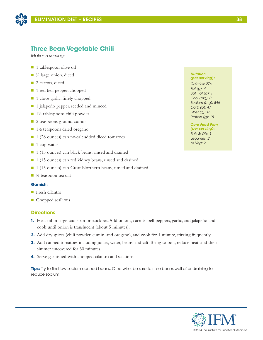

## **Three Bean Vegetable Chili**

*Makes 6 servings*

- 1 tablespoon olive oil
- $\blacksquare$  ½ large onion, diced
- 2 carrots, diced
- 1 red bell pepper, chopped
- 1 clove garlic, finely chopped
- 1 jalapeño pepper, seeded and minced
- $\blacksquare$  1½ tablespoons chili powder
- **n** 2 teaspoons ground cumin
- 1½ teaspoons dried oregano
- 1 (28 ounces) can no-salt added diced tomatoes
- $\blacksquare$  1 cup water
- 1 (15 ounces) can black beans, rinsed and drained
- 1 (15 ounces) can red kidney beans, rinsed and drained
- 1 (15 ounces) can Great Northern beans, rinsed and drained
- $\blacksquare$  ½ teaspoon sea salt

### **Garnish:**

- $\blacksquare$  Fresh cilantro
- Chopped scallions

## **Directions**

- **1.** Heat oil in large saucepan or stockpot. Add onions, carrots, bell peppers, garlic, and jalapeño and cook until onion is translucent (about 5 minutes).
- **2.** Add dry spices (chili powder, cumin, and oregano), and cook for 1 minute, stirring frequently.
- **3.** Add canned tomatoes including juices, water, beans, and salt. Bring to boil, reduce heat, and then simmer uncovered for 30 minutes.
- **4.** Serve garnished with chopped cilantro and scallions.

**Tips:** Try to find low-sodium canned beans. Otherwise, be sure to rinse beans well after draining to reduce sodium.

#### *Nutrition (per serving):*

*Calories: 276 Fat (g): 4 Sat. Fat (g): 1 Chol (mg): 0 Sodium (mg): 846 Carb (g): 47 Fiber (g): 15 Protein (g): 15*

*Core Food Plan (per serving): Fats & Oils: 1 Legumes: 2 ns Veg: 2*

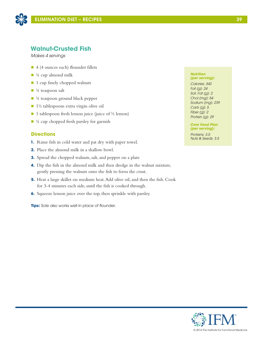

## **Walnut-Crusted Fish**

*Makes 4 servings*

- $\blacksquare$  4 (4 ounces each) flounder fillets
- $\blacksquare$  ¼ cup almond milk
- $\blacksquare$  1 cup finely chopped walnuts
- $\blacksquare$  ¼ teaspoon salt
- $\blacksquare$  ¼ teaspoon ground black pepper
- 1½ tablespoons extra virgin olive oil
- $\blacksquare$  1 tablespoon fresh lemon juice (juice of ½ lemon)
- $\blacksquare$  <sup>1</sup>/4 cup chopped fresh parsley for garnish

## **Directions**

- **1.** Rinse fish in cold water and pat dry with paper towel.
- **2.** Place the almond milk in a shallow bowl.
- **3.** Spread the chopped walnuts, salt, and pepper on a plate
- **4.** Dip the fish in the almond milk and then dredge in the walnut mixture, gently pressing the walnuts onto the fish to form the crust.
- **5.** Heat a large skillet on medium heat. Add olive oil, and then the fish. Cook for 3-4 minutes each side, until the fish is cooked through.
- **6.** Squeeze lemon juice over the top, then sprinkle with parsley.

**Tips:** Sole also works well in place of flounder.

### *Nutrition (per serving):*

*Calories: 343 Fat (g): 24 Sat. Fat (g): 2 Chol (mg): 54 Sodium (mg): 239 Carb (g): 5 Fiber (g): 2 Protein (g): 29*

*Core Food Plan (per serving):*

*Proteins: 3.5 Nuts & Seeds: 3.5*